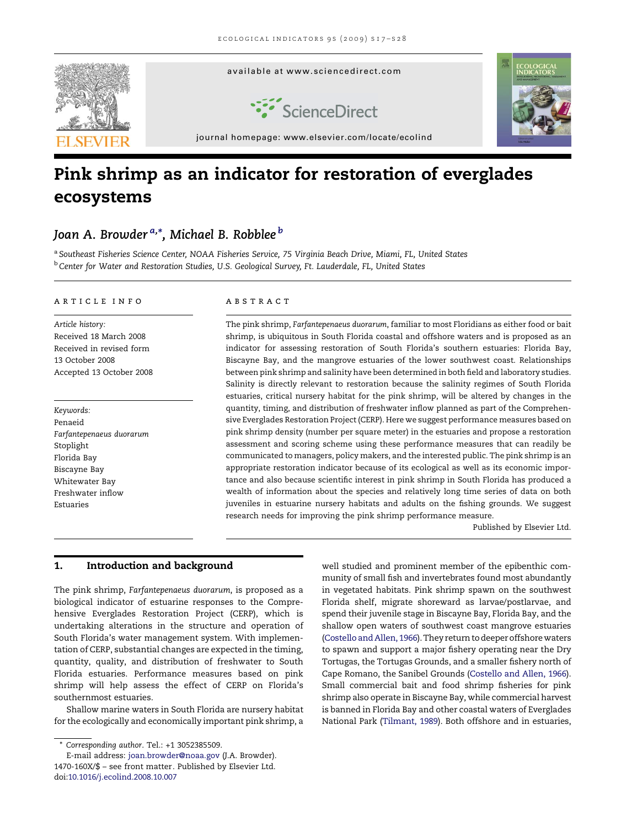

# Pink shrimp as an indicator for restoration of everglades ecosystems

# Joan A. Browder <sup>a,</sup>\*, Michael B. Robblee <sup>b</sup>

a Southeast Fisheries Science Center, NOAA Fisheries Service, 75 Virginia Beach Drive, Miami, FL, United States <sup>b</sup> Center for Water and Restoration Studies, U.S. Geological Survey, Ft. Lauderdale, FL, United States

#### article info

Article history: Received 18 March 2008 Received in revised form 13 October 2008 Accepted 13 October 2008

Keywords: Penaeid Farfantepenaeus duorarum Stoplight Florida Bay Biscayne Bay Whitewater Bay Freshwater inflow Estuaries

#### **ABSTRACT**

The pink shrimp, Farfantepenaeus duorarum, familiar to most Floridians as either food or bait shrimp, is ubiquitous in South Florida coastal and offshore waters and is proposed as an indicator for assessing restoration of South Florida's southern estuaries: Florida Bay, Biscayne Bay, and the mangrove estuaries of the lower southwest coast. Relationships between pink shrimp and salinity have been determined in both field and laboratory studies. Salinity is directly relevant to restoration because the salinity regimes of South Florida estuaries, critical nursery habitat for the pink shrimp, will be altered by changes in the quantity, timing, and distribution of freshwater inflow planned as part of the Comprehensive Everglades Restoration Project (CERP). Here we suggest performance measures based on pink shrimp density (number per square meter) in the estuaries and propose a restoration assessment and scoring scheme using these performance measures that can readily be communicated to managers, policy makers, and the interested public. The pink shrimp is an appropriate restoration indicator because of its ecological as well as its economic importance and also because scientific interest in pink shrimp in South Florida has produced a wealth of information about the species and relatively long time series of data on both juveniles in estuarine nursery habitats and adults on the fishing grounds. We suggest research needs for improving the pink shrimp performance measure.

Published by Elsevier Ltd.

# 1. Introduction and background

The pink shrimp, Farfantepenaeus duorarum, is proposed as a biological indicator of estuarine responses to the Comprehensive Everglades Restoration Project (CERP), which is undertaking alterations in the structure and operation of South Florida's water management system. With implementation of CERP, substantial changes are expected in the timing, quantity, quality, and distribution of freshwater to South Florida estuaries. Performance measures based on pink shrimp will help assess the effect of CERP on Florida's southernmost estuaries.

Shallow marine waters in South Florida are nursery habitat for the ecologically and economically important pink shrimp, a

\* Corresponding author. Tel.: +1 3052385509.

well studied and prominent member of the epibenthic community of small fish and invertebrates found most abundantly in vegetated habitats. Pink shrimp spawn on the southwest Florida shelf, migrate shoreward as larvae/postlarvae, and spend their juvenile stage in Biscayne Bay, Florida Bay, and the shallow open waters of southwest coast mangrove estuaries [\(Costello and Allen, 1966](#page-9-0)). They return to deeper offshore waters to spawn and support a major fishery operating near the Dry Tortugas, the Tortugas Grounds, and a smaller fishery north of Cape Romano, the Sanibel Grounds ([Costello and Allen, 1966](#page-9-0)). Small commercial bait and food shrimp fisheries for pink shrimp also operate in Biscayne Bay, while commercial harvest is banned in Florida Bay and other coastal waters of Everglades National Park [\(Tilmant, 1989](#page-11-0)). Both offshore and in estuaries,

E-mail address: [joan.browder@noaa.gov](mailto:joan.browder@noaa.gov) (J.A. Browder). 1470-160X/\$ – see front matter. Published by Elsevier Ltd. doi[:10.1016/j.ecolind.2008.10.007](http://dx.doi.org/10.1016/j.ecolind.2008.10.007)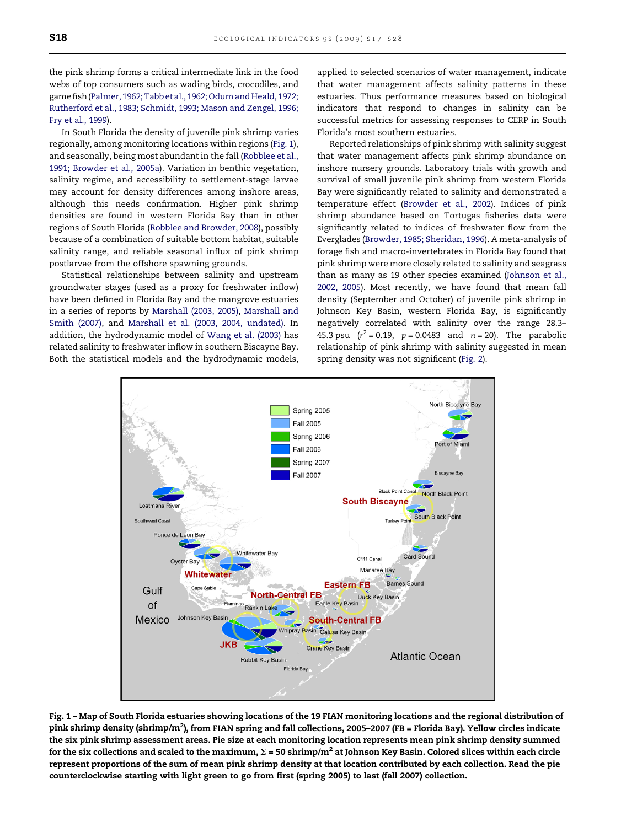<span id="page-1-0"></span>the pink shrimp forms a critical intermediate link in the food webs of top consumers such as wading birds, crocodiles, and gamefish[\(Palmer,1962; Tabbetal.,1962; Odumand Heald,1972;](#page-10-0) [Rutherford et al., 1983; Schmidt, 1993; Mason and Zengel, 1996;](#page-10-0) [Fry et al., 1999\)](#page-10-0).

In South Florida the density of juvenile pink shrimp varies regionally, among monitoring locations within regions (Fig. 1), and seasonally, being most abundant in the fall [\(Robblee et al.,](#page-11-0) [1991; Browder et al., 2005a](#page-11-0)). Variation in benthic vegetation, salinity regime, and accessibility to settlement-stage larvae may account for density differences among inshore areas, although this needs confirmation. Higher pink shrimp densities are found in western Florida Bay than in other regions of South Florida ([Robblee and Browder, 2008\)](#page-11-0), possibly because of a combination of suitable bottom habitat, suitable salinity range, and reliable seasonal influx of pink shrimp postlarvae from the offshore spawning grounds.

Statistical relationships between salinity and upstream groundwater stages (used as a proxy for freshwater inflow) have been defined in Florida Bay and the mangrove estuaries in a series of reports by [Marshall \(2003, 2005\),](#page-10-0) [Marshall and](#page-10-0) [Smith \(2007\),](#page-10-0) and [Marshall et al. \(2003, 2004, undated\).](#page-10-0) In addition, the hydrodynamic model of [Wang et al. \(2003\)](#page-11-0) has related salinity to freshwater inflow in southern Biscayne Bay. Both the statistical models and the hydrodynamic models, applied to selected scenarios of water management, indicate that water management affects salinity patterns in these estuaries. Thus performance measures based on biological indicators that respond to changes in salinity can be successful metrics for assessing responses to CERP in South Florida's most southern estuaries.

Reported relationships of pink shrimp with salinity suggest that water management affects pink shrimp abundance on inshore nursery grounds. Laboratory trials with growth and survival of small juvenile pink shrimp from western Florida Bay were significantly related to salinity and demonstrated a temperature effect [\(Browder et al., 2002](#page-9-0)). Indices of pink shrimp abundance based on Tortugas fisheries data were significantly related to indices of freshwater flow from the Everglades [\(Browder, 1985; Sheridan, 1996\)](#page-9-0). A meta-analysis of forage fish and macro-invertebrates in Florida Bay found that pink shrimp were more closely related to salinity and seagrass than as many as 19 other species examined [\(Johnson et al.,](#page-10-0) [2002, 2005](#page-10-0)). Most recently, we have found that mean fall density (September and October) of juvenile pink shrimp in Johnson Key Basin, western Florida Bay, is significantly negatively correlated with salinity over the range 28.3– 45.3 psu  $(r^2 = 0.19, p = 0.0483$  and  $n = 20$ ). The parabolic relationship of pink shrimp with salinity suggested in mean spring density was not significant [\(Fig. 2](#page-2-0)).



Fig. 1 – Map of South Florida estuaries showing locations of the 19 FIAN monitoring locations and the regional distribution of pink shrimp density (shrimp/m<sup>2</sup>), from FIAN spring and fall collections, 2005–2007 (FB = Florida Bay). Yellow circles indicate the six pink shrimp assessment areas. Pie size at each monitoring location represents mean pink shrimp density summed for the six collections and scaled to the maximum,  $\Sigma$  = 50 shrimp/m<sup>2</sup> at Johnson Key Basin. Colored slices within each circle represent proportions of the sum of mean pink shrimp density at that location contributed by each collection. Read the pie counterclockwise starting with light green to go from first (spring 2005) to last (fall 2007) collection.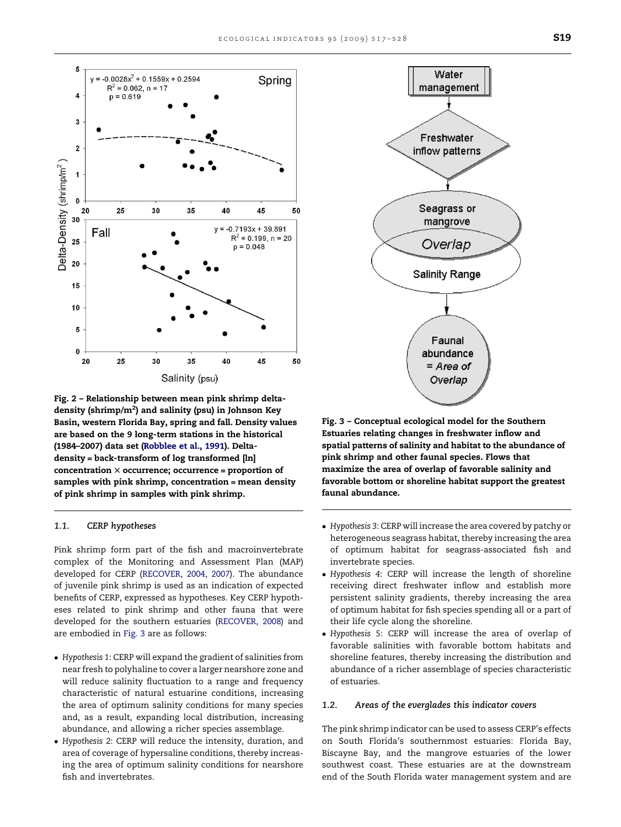<span id="page-2-0"></span>

Fig. 2 – Relationship between mean pink shrimp deltadensity (shrimp/m<sup>2</sup>) and salinity (psu) in Johnson Key Basin, western Florida Bay, spring and fall. Density values are based on the 9 long-term stations in the historical (1984–2007) data set ([Robblee et al., 1991](#page-11-0)). Deltadensity = back-transform of log transformed [ln] concentration  $\times$  occurrence; occurrence = proportion of samples with pink shrimp, concentration = mean density of pink shrimp in samples with pink shrimp.

### 1.1. CERP hypotheses

Pink shrimp form part of the fish and macroinvertebrate complex of the Monitoring and Assessment Plan (MAP) developed for CERP ([RECOVER, 2004, 2007](#page-10-0)). The abundance of juvenile pink shrimp is used as an indication of expected benefits of CERP, expressed as hypotheses. Key CERP hypotheses related to pink shrimp and other fauna that were developed for the southern estuaries [\(RECOVER, 2008\)](#page-11-0) and are embodied in Fig. 3 are as follows:

- Hypothesis 1: CERP will expand the gradient of salinities from near fresh to polyhaline to cover a larger nearshore zone and will reduce salinity fluctuation to a range and frequency characteristic of natural estuarine conditions, increasing the area of optimum salinity conditions for many species and, as a result, expanding local distribution, increasing abundance, and allowing a richer species assemblage.
- Hypothesis 2: CERP will reduce the intensity, duration, and area of coverage of hypersaline conditions, thereby increasing the area of optimum salinity conditions for nearshore fish and invertebrates.



Fig. 3 – Conceptual ecological model for the Southern Estuaries relating changes in freshwater inflow and spatial patterns of salinity and habitat to the abundance of pink shrimp and other faunal species. Flows that maximize the area of overlap of favorable salinity and favorable bottom or shoreline habitat support the greatest faunal abundance.

- Hypothesis 3: CERP will increase the area covered by patchy or heterogeneous seagrass habitat, thereby increasing the area of optimum habitat for seagrass-associated fish and invertebrate species.
- Hypothesis 4: CERP will increase the length of shoreline receiving direct freshwater inflow and establish more persistent salinity gradients, thereby increasing the area of optimum habitat for fish species spending all or a part of their life cycle along the shoreline.
- Hypothesis 5: CERP will increase the area of overlap of favorable salinities with favorable bottom habitats and shoreline features, thereby increasing the distribution and abundance of a richer assemblage of species characteristic of estuaries.

#### 1.2. Areas of the everglades this indicator covers

The pink shrimp indicator can be used to assess CERP's effects on South Florida's southernmost estuaries: Florida Bay, Biscayne Bay, and the mangrove estuaries of the lower southwest coast. These estuaries are at the downstream end of the South Florida water management system and are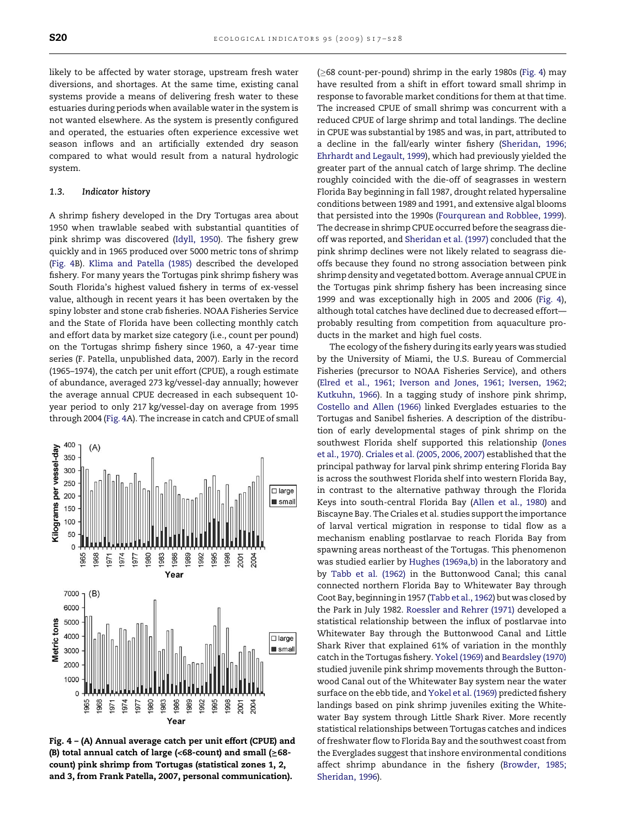likely to be affected by water storage, upstream fresh water diversions, and shortages. At the same time, existing canal systems provide a means of delivering fresh water to these estuaries during periods when available water in the system is not wanted elsewhere. As the system is presently configured and operated, the estuaries often experience excessive wet season inflows and an artificially extended dry season compared to what would result from a natural hydrologic system.

#### 1.3. Indicator history

A shrimp fishery developed in the Dry Tortugas area about 1950 when trawlable seabed with substantial quantities of pink shrimp was discovered [\(Idyll, 1950](#page-10-0)). The fishery grew quickly and in 1965 produced over 5000 metric tons of shrimp (Fig. 4B). [Klima and Patella \(1985\)](#page-10-0) described the developed fishery. For many years the Tortugas pink shrimp fishery was South Florida's highest valued fishery in terms of ex-vessel value, although in recent years it has been overtaken by the spiny lobster and stone crab fisheries. NOAA Fisheries Service and the State of Florida have been collecting monthly catch and effort data by market size category (i.e., count per pound) on the Tortugas shrimp fishery since 1960, a 47-year time series (F. Patella, unpublished data, 2007). Early in the record (1965–1974), the catch per unit effort (CPUE), a rough estimate of abundance, averaged 273 kg/vessel-day annually; however the average annual CPUE decreased in each subsequent 10 year period to only 217 kg/vessel-day on average from 1995 through 2004 (Fig. 4A). The increase in catch and CPUE of small



Fig. 4 – (A) Annual average catch per unit effort (CPUE) and (B) total annual catch of large (<68-count) and small ( $\geq$ 68count) pink shrimp from Tortugas (statistical zones 1, 2, and 3, from Frank Patella, 2007, personal communication).

 $($   $\geq$  68 count-per-pound) shrimp in the early 1980s (Fig. 4) may have resulted from a shift in effort toward small shrimp in response to favorable market conditions for them at that time. The increased CPUE of small shrimp was concurrent with a reduced CPUE of large shrimp and total landings. The decline in CPUE was substantial by 1985 and was, in part, attributed to a decline in the fall/early winter fishery [\(Sheridan, 1996;](#page-11-0) [Ehrhardt and Legault, 1999\)](#page-11-0), which had previously yielded the greater part of the annual catch of large shrimp. The decline roughly coincided with the die-off of seagrasses in western Florida Bay beginning in fall 1987, drought related hypersaline conditions between 1989 and 1991, and extensive algal blooms that persisted into the 1990s ([Fourqurean and Robblee, 1999\)](#page-10-0). The decrease in shrimp CPUE occurred before the seagrass dieoff was reported, and [Sheridan et al. \(1997\)](#page-11-0) concluded that the pink shrimp declines were not likely related to seagrass dieoffs because they found no strong association between pink shrimp density and vegetated bottom. Average annual CPUE in the Tortugas pink shrimp fishery has been increasing since 1999 and was exceptionally high in 2005 and 2006 (Fig. 4), although total catches have declined due to decreased effort probably resulting from competition from aquaculture products in the market and high fuel costs.

The ecology of the fishery during its early years was studied by the University of Miami, the U.S. Bureau of Commercial Fisheries (precursor to NOAA Fisheries Service), and others ([Elred et al., 1961; Iverson and Jones, 1961; Iversen, 1962;](#page-10-0) [Kutkuhn, 1966\)](#page-10-0). In a tagging study of inshore pink shrimp, [Costello and Allen \(1966\)](#page-9-0) linked Everglades estuaries to the Tortugas and Sanibel fisheries. A description of the distribution of early developmental stages of pink shrimp on the southwest Florida shelf supported this relationship ([Jones](#page-10-0) [et al., 1970](#page-10-0)). [Criales et al. \(2005, 2006, 2007\)](#page-9-0) established that the principal pathway for larval pink shrimp entering Florida Bay is across the southwest Florida shelf into western Florida Bay, in contrast to the alternative pathway through the Florida Keys into south-central Florida Bay ([Allen et al., 1980](#page-9-0)) and Biscayne Bay. The Criales et al. studies support the importance of larval vertical migration in response to tidal flow as a mechanism enabling postlarvae to reach Florida Bay from spawning areas northeast of the Tortugas. This phenomenon was studied earlier by [Hughes \(1969a,b\)](#page-10-0) in the laboratory and by [Tabb et al. \(1962\)](#page-11-0) in the Buttonwood Canal; this canal connected northern Florida Bay to Whitewater Bay through Coot Bay, beginning in 1957 [\(Tabb et al., 1962\)](#page-11-0) but was closed by the Park in July 1982. [Roessler and Rehrer \(1971\)](#page-11-0) developed a statistical relationship between the influx of postlarvae into Whitewater Bay through the Buttonwood Canal and Little Shark River that explained 61% of variation in the monthly catch in the Tortugas fishery. [Yokel \(1969\)](#page-11-0) and [Beardsley \(1970\)](#page-9-0) studied juvenile pink shrimp movements through the Buttonwood Canal out of the Whitewater Bay system near the water surface on the ebb tide, and [Yokel et al. \(1969\)](#page-11-0) predicted fishery landings based on pink shrimp juveniles exiting the Whitewater Bay system through Little Shark River. More recently statistical relationships between Tortugas catches and indices of freshwater flow to Florida Bay and the southwest coast from the Everglades suggest that inshore environmental conditions affect shrimp abundance in the fishery ([Browder, 1985;](#page-9-0) [Sheridan, 1996\)](#page-9-0).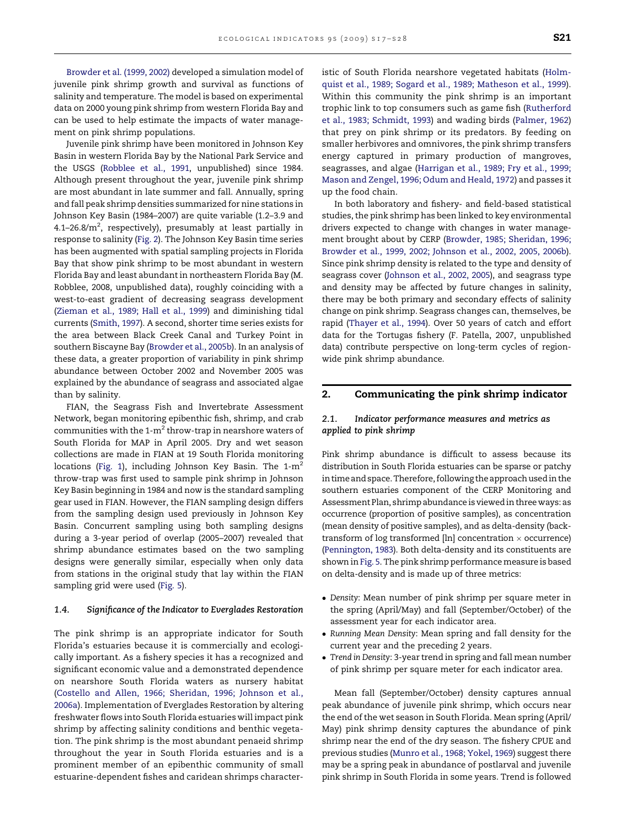[Browder et al. \(1999, 2002\)](#page-9-0) developed a simulation model of juvenile pink shrimp growth and survival as functions of salinity and temperature. The model is based on experimental data on 2000 young pink shrimp from western Florida Bay and can be used to help estimate the impacts of water management on pink shrimp populations.

Juvenile pink shrimp have been monitored in Johnson Key Basin in western Florida Bay by the National Park Service and the USGS ([Robblee et al., 1991,](#page-11-0) unpublished) since 1984. Although present throughout the year, juvenile pink shrimp are most abundant in late summer and fall. Annually, spring and fall peak shrimp densities summarized for nine stations in Johnson Key Basin (1984–2007) are quite variable (1.2–3.9 and 4.1–26.8/m $^2$ , respectively), presumably at least partially in response to salinity ([Fig. 2\)](#page-2-0). The Johnson Key Basin time series has been augmented with spatial sampling projects in Florida Bay that show pink shrimp to be most abundant in western Florida Bay and least abundant in northeastern Florida Bay (M. Robblee, 2008, unpublished data), roughly coinciding with a west-to-east gradient of decreasing seagrass development [\(Zieman et al., 1989; Hall et al., 1999\)](#page-11-0) and diminishing tidal currents [\(Smith, 1997](#page-11-0)). A second, shorter time series exists for the area between Black Creek Canal and Turkey Point in southern Biscayne Bay [\(Browder et al., 2005b](#page-9-0)). In an analysis of these data, a greater proportion of variability in pink shrimp abundance between October 2002 and November 2005 was explained by the abundance of seagrass and associated algae than by salinity.

FIAN, the Seagrass Fish and Invertebrate Assessment Network, began monitoring epibenthic fish, shrimp, and crab communities with the  $1-m^2$  throw-trap in nearshore waters of South Florida for MAP in April 2005. Dry and wet season collections are made in FIAN at 19 South Florida monitoring locations ([Fig. 1](#page-1-0)), including Johnson Key Basin. The  $1-m^2$ throw-trap was first used to sample pink shrimp in Johnson Key Basin beginning in 1984 and now is the standard sampling gear used in FIAN. However, the FIAN sampling design differs from the sampling design used previously in Johnson Key Basin. Concurrent sampling using both sampling designs during a 3-year period of overlap (2005–2007) revealed that shrimp abundance estimates based on the two sampling designs were generally similar, especially when only data from stations in the original study that lay within the FIAN sampling grid were used ([Fig. 5](#page-5-0)).

#### 1.4. Significance of the Indicator to Everglades Restoration

The pink shrimp is an appropriate indicator for South Florida's estuaries because it is commercially and ecologically important. As a fishery species it has a recognized and significant economic value and a demonstrated dependence on nearshore South Florida waters as nursery habitat [\(Costello and Allen, 1966; Sheridan, 1996; Johnson et al.,](#page-9-0) [2006a](#page-9-0)). Implementation of Everglades Restoration by altering freshwater flows into South Florida estuaries will impact pink shrimp by affecting salinity conditions and benthic vegetation. The pink shrimp is the most abundant penaeid shrimp throughout the year in South Florida estuaries and is a prominent member of an epibenthic community of small estuarine-dependent fishes and caridean shrimps characteristic of South Florida nearshore vegetated habitats ([Holm](#page-10-0)[quist et al., 1989; Sogard et al., 1989; Matheson et al., 1999](#page-10-0)). Within this community the pink shrimp is an important trophic link to top consumers such as game fish ([Rutherford](#page-11-0) [et al., 1983; Schmidt, 1993\)](#page-11-0) and wading birds ([Palmer, 1962\)](#page-10-0) that prey on pink shrimp or its predators. By feeding on smaller herbivores and omnivores, the pink shrimp transfers energy captured in primary production of mangroves, seagrasses, and algae ([Harrigan et al., 1989; Fry et al., 1999;](#page-10-0) [Mason and Zengel, 1996; Odum and Heald, 1972\)](#page-10-0) and passes it up the food chain.

In both laboratory and fishery- and field-based statistical studies, the pink shrimp has been linked to key environmental drivers expected to change with changes in water management brought about by CERP ([Browder, 1985; Sheridan, 1996;](#page-9-0) [Browder et al., 1999, 2002; Johnson et al., 2002, 2005, 2006b](#page-9-0)). Since pink shrimp density is related to the type and density of seagrass cover [\(Johnson et al., 2002, 2005](#page-10-0)), and seagrass type and density may be affected by future changes in salinity, there may be both primary and secondary effects of salinity change on pink shrimp. Seagrass changes can, themselves, be rapid ([Thayer et al., 1994](#page-11-0)). Over 50 years of catch and effort data for the Tortugas fishery (F. Patella, 2007, unpublished data) contribute perspective on long-term cycles of regionwide pink shrimp abundance.

#### 2. Communicating the pink shrimp indicator

## 2.1. Indicator performance measures and metrics as applied to pink shrimp

Pink shrimp abundance is difficult to assess because its distribution in South Florida estuaries can be sparse or patchy in time and space. Therefore, following the approach used in the southern estuaries component of the CERP Monitoring and Assessment Plan, shrimp abundance is viewed in three ways: as occurrence (proportion of positive samples), as concentration (mean density of positive samples), and as delta-density (backtransform of log transformed  $\lceil \ln \rceil$  concentration  $\times$  occurrence) [\(Pennington, 1983](#page-10-0)). Both delta-density and its constituents are shown in [Fig. 5](#page-5-0). The pink shrimp performance measure is based on delta-density and is made up of three metrics:

- Density: Mean number of pink shrimp per square meter in the spring (April/May) and fall (September/October) of the assessment year for each indicator area.
- Running Mean Density: Mean spring and fall density for the current year and the preceding 2 years.
- Trend in Density: 3-year trend in spring and fall mean number of pink shrimp per square meter for each indicator area.

Mean fall (September/October) density captures annual peak abundance of juvenile pink shrimp, which occurs near the end of the wet season in South Florida. Mean spring (April/ May) pink shrimp density captures the abundance of pink shrimp near the end of the dry season. The fishery CPUE and previous studies ([Munro et al., 1968; Yokel, 1969](#page-10-0)) suggest there may be a spring peak in abundance of postlarval and juvenile pink shrimp in South Florida in some years. Trend is followed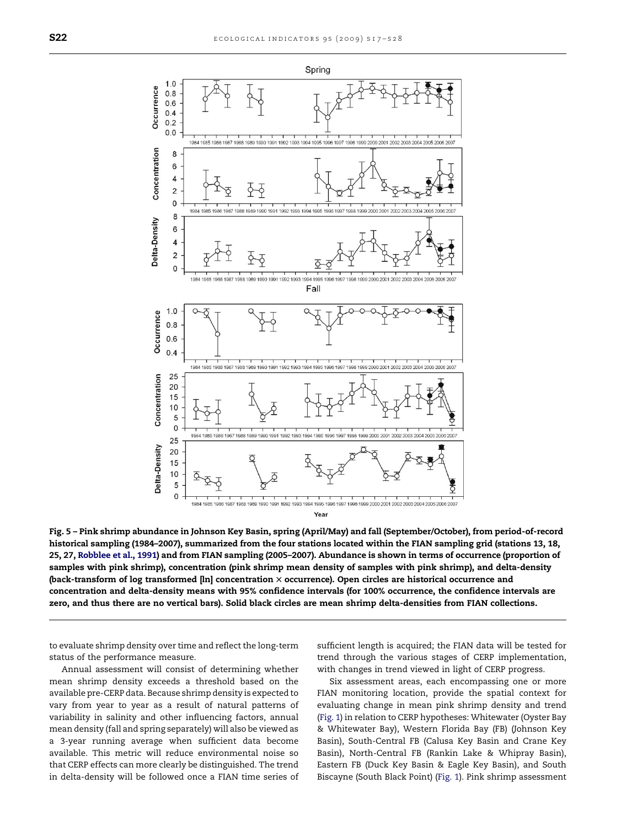<span id="page-5-0"></span>

Fig. 5 – Pink shrimp abundance in Johnson Key Basin, spring (April/May) and fall (September/October), from period-of-record historical sampling (1984–2007), summarized from the four stations located within the FIAN sampling grid (stations 13, 18, 25, 27, [Robblee et al., 1991\)](#page-11-0) and from FIAN sampling (2005–2007). Abundance is shown in terms of occurrence (proportion of samples with pink shrimp), concentration (pink shrimp mean density of samples with pink shrimp), and delta-density (back-transform of log transformed [ln] concentration  $\times$  occurrence). Open circles are historical occurrence and concentration and delta-density means with 95% confidence intervals (for 100% occurrence, the confidence intervals are zero, and thus there are no vertical bars). Solid black circles are mean shrimp delta-densities from FIAN collections.

to evaluate shrimp density over time and reflect the long-term status of the performance measure.

Annual assessment will consist of determining whether mean shrimp density exceeds a threshold based on the available pre-CERP data. Because shrimp density is expected to vary from year to year as a result of natural patterns of variability in salinity and other influencing factors, annual mean density (fall and spring separately) will also be viewed as a 3-year running average when sufficient data become available. This metric will reduce environmental noise so that CERP effects can more clearly be distinguished. The trend in delta-density will be followed once a FIAN time series of sufficient length is acquired; the FIAN data will be tested for trend through the various stages of CERP implementation, with changes in trend viewed in light of CERP progress.

Six assessment areas, each encompassing one or more FIAN monitoring location, provide the spatial context for evaluating change in mean pink shrimp density and trend ([Fig. 1](#page-1-0)) in relation to CERP hypotheses: Whitewater (Oyster Bay & Whitewater Bay), Western Florida Bay (FB) (Johnson Key Basin), South-Central FB (Calusa Key Basin and Crane Key Basin), North-Central FB (Rankin Lake & Whipray Basin), Eastern FB (Duck Key Basin & Eagle Key Basin), and South Biscayne (South Black Point) [\(Fig. 1\)](#page-1-0). Pink shrimp assessment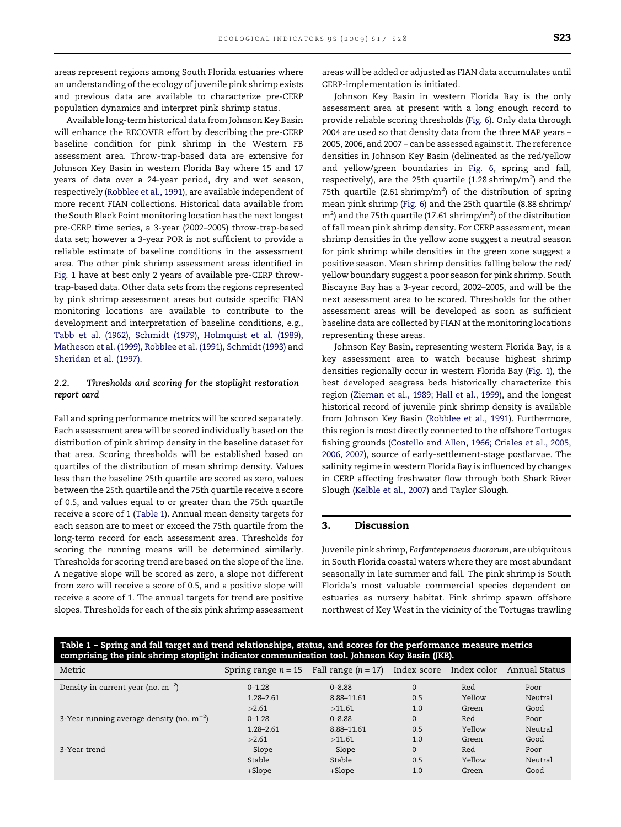<span id="page-6-0"></span>areas represent regions among South Florida estuaries where an understanding of the ecology of juvenile pink shrimp exists and previous data are available to characterize pre-CERP population dynamics and interpret pink shrimp status.

Available long-term historical data from Johnson Key Basin will enhance the RECOVER effort by describing the pre-CERP baseline condition for pink shrimp in the Western FB assessment area. Throw-trap-based data are extensive for Johnson Key Basin in western Florida Bay where 15 and 17 years of data over a 24-year period, dry and wet season, respectively ([Robblee et al., 1991](#page-11-0)), are available independent of more recent FIAN collections. Historical data available from the South Black Point monitoring location has the next longest pre-CERP time series, a 3-year (2002–2005) throw-trap-based data set; however a 3-year POR is not sufficient to provide a reliable estimate of baseline conditions in the assessment area. The other pink shrimp assessment areas identified in [Fig. 1](#page-1-0) have at best only 2 years of available pre-CERP throwtrap-based data. Other data sets from the regions represented by pink shrimp assessment areas but outside specific FIAN monitoring locations are available to contribute to the development and interpretation of baseline conditions, e.g., [Tabb et al. \(1962\)](#page-11-0), [Schmidt \(1979\)](#page-11-0), [Holmquist et al. \(1989\),](#page-10-0) [Matheson et al. \(1999\),](#page-10-0) [Robblee et al. \(1991\),](#page-11-0) [Schmidt \(1993\)](#page-11-0) and [Sheridan et al. \(1997\)](#page-11-0).

# 2.2. Thresholds and scoring for the stoplight restoration report card

Fall and spring performance metrics will be scored separately. Each assessment area will be scored individually based on the distribution of pink shrimp density in the baseline dataset for that area. Scoring thresholds will be established based on quartiles of the distribution of mean shrimp density. Values less than the baseline 25th quartile are scored as zero, values between the 25th quartile and the 75th quartile receive a score of 0.5, and values equal to or greater than the 75th quartile receive a score of 1 (Table 1). Annual mean density targets for each season are to meet or exceed the 75th quartile from the long-term record for each assessment area. Thresholds for scoring the running means will be determined similarly. Thresholds for scoring trend are based on the slope of the line. A negative slope will be scored as zero, a slope not different from zero will receive a score of 0.5, and a positive slope will receive a score of 1. The annual targets for trend are positive slopes. Thresholds for each of the six pink shrimp assessment

areas will be added or adjusted as FIAN data accumulates until CERP-implementation is initiated.

Johnson Key Basin in western Florida Bay is the only assessment area at present with a long enough record to provide reliable scoring thresholds [\(Fig. 6](#page-7-0)). Only data through 2004 are used so that density data from the three MAP years – 2005, 2006, and 2007 – can be assessed against it. The reference densities in Johnson Key Basin (delineated as the red/yellow and yellow/green boundaries in [Fig. 6,](#page-7-0) spring and fall, respectively), are the 25th quartile (1.28 shrimp/m $^2$ ) and the 75th quartile (2.61 shrimp/m<sup>2</sup>) of the distribution of spring mean pink shrimp ([Fig. 6\)](#page-7-0) and the 25th quartile (8.88 shrimp/ m $^2$ ) and the 75th quartile (17.61 shrimp/m $^2$ ) of the distribution of fall mean pink shrimp density. For CERP assessment, mean shrimp densities in the yellow zone suggest a neutral season for pink shrimp while densities in the green zone suggest a positive season. Mean shrimp densities falling below the red/ yellow boundary suggest a poor season for pink shrimp. South Biscayne Bay has a 3-year record, 2002–2005, and will be the next assessment area to be scored. Thresholds for the other assessment areas will be developed as soon as sufficient baseline data are collected by FIAN at the monitoring locations representing these areas.

Johnson Key Basin, representing western Florida Bay, is a key assessment area to watch because highest shrimp densities regionally occur in western Florida Bay ([Fig. 1\)](#page-1-0), the best developed seagrass beds historically characterize this region ([Zieman et al., 1989; Hall et al., 1999](#page-11-0)), and the longest historical record of juvenile pink shrimp density is available from Johnson Key Basin [\(Robblee et al., 1991](#page-11-0)). Furthermore, this region is most directly connected to the offshore Tortugas fishing grounds [\(Costello and Allen, 1966; Criales et al., 2005,](#page-9-0) [2006, 2007](#page-9-0)), source of early-settlement-stage postlarvae. The salinity regime in western Florida Bay is influenced by changes in CERP affecting freshwater flow through both Shark River Slough ([Kelble et al., 2007](#page-10-0)) and Taylor Slough.

#### 3. Discussion

Juvenile pink shrimp, Farfantepenaeus duorarum, are ubiquitous in South Florida coastal waters where they are most abundant seasonally in late summer and fall. The pink shrimp is South Florida's most valuable commercial species dependent on estuaries as nursery habitat. Pink shrimp spawn offshore northwest of Key West in the vicinity of the Tortugas trawling

| Tubic 1 - opinig and nai unger and trend relationships, suitas, and secres for the performance incustor inclines<br>comprising the pink shrimp stoplight indicator communication tool. Johnson Key Basin (JKB). |                                                                     |            |             |        |               |
|-----------------------------------------------------------------------------------------------------------------------------------------------------------------------------------------------------------------|---------------------------------------------------------------------|------------|-------------|--------|---------------|
| Metric                                                                                                                                                                                                          | Spring range $n = 15$ Fall range $(n = 17)$ Index score Index color |            |             |        | Annual Status |
| Density in current year (no. $m^{-2}$ )                                                                                                                                                                         | $0 - 1.28$                                                          | $0 - 8.88$ | 0           | Red    | Poor          |
|                                                                                                                                                                                                                 | $1.28 - 2.61$                                                       | 8.88-11.61 | 0.5         | Yellow | Neutral       |
|                                                                                                                                                                                                                 | >2.61                                                               | >11.61     | 1.0         | Green  | Good          |
| 3-Year running average density (no. $m^{-2}$ )                                                                                                                                                                  | $0 - 1.28$                                                          | $0 - 8.88$ | $\mathbf 0$ | Red    | Poor          |
|                                                                                                                                                                                                                 | $1.28 - 2.61$                                                       | 8.88-11.61 | 0.5         | Yellow | Neutral       |
|                                                                                                                                                                                                                 | >2.61                                                               | >11.61     | 1.0         | Green  | Good          |
| 3-Year trend                                                                                                                                                                                                    | $-Slope$                                                            | $-Slope$   | $\mathbf 0$ | Red    | Poor          |
|                                                                                                                                                                                                                 | Stable                                                              | Stable     | 0.5         | Yellow | Neutral       |
|                                                                                                                                                                                                                 | +Slope                                                              | +Slope     | 1.0         | Green  | Good          |
|                                                                                                                                                                                                                 |                                                                     |            |             |        |               |

Table 1 – Spring and fall target and trend relationships, status, and scores for the performance measure metrics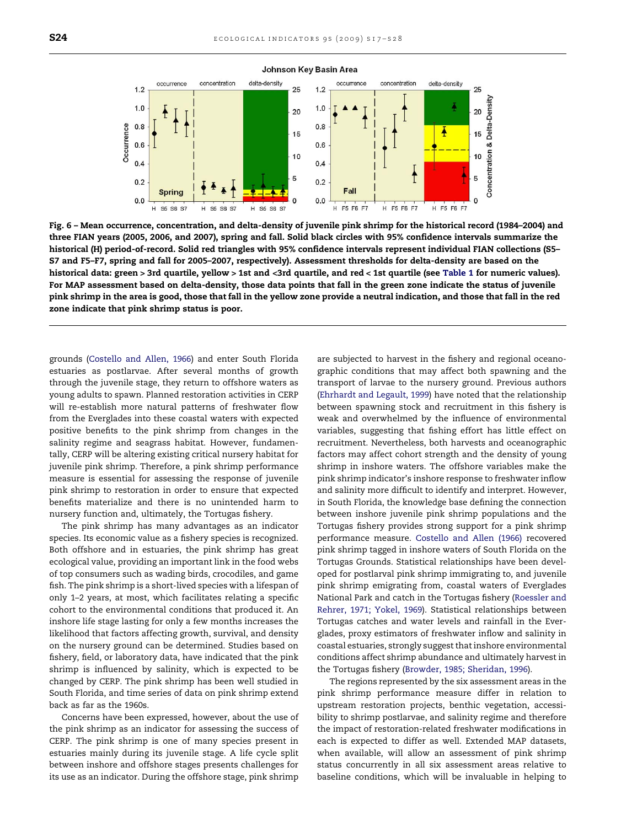<span id="page-7-0"></span>

Fig. 6 – Mean occurrence, concentration, and delta-density of juvenile pink shrimp for the historical record (1984–2004) and three FIAN years (2005, 2006, and 2007), spring and fall. Solid black circles with 95% confidence intervals summarize the historical (H) period-of-record. Solid red triangles with 95% confidence intervals represent individual FIAN collections (S5– S7 and F5–F7, spring and fall for 2005–2007, respectively). Assessment thresholds for delta-density are based on the historical data: green > 3rd quartile, yellow > 1st and <3rd quartile, and red < 1st quartile (see [Table 1](#page-6-0) for numeric values). For MAP assessment based on delta-density, those data points that fall in the green zone indicate the status of juvenile pink shrimp in the area is good, those that fall in the yellow zone provide a neutral indication, and those that fall in the red zone indicate that pink shrimp status is poor.

grounds [\(Costello and Allen, 1966](#page-9-0)) and enter South Florida estuaries as postlarvae. After several months of growth through the juvenile stage, they return to offshore waters as young adults to spawn. Planned restoration activities in CERP will re-establish more natural patterns of freshwater flow from the Everglades into these coastal waters with expected positive benefits to the pink shrimp from changes in the salinity regime and seagrass habitat. However, fundamentally, CERP will be altering existing critical nursery habitat for juvenile pink shrimp. Therefore, a pink shrimp performance measure is essential for assessing the response of juvenile pink shrimp to restoration in order to ensure that expected benefits materialize and there is no unintended harm to nursery function and, ultimately, the Tortugas fishery.

The pink shrimp has many advantages as an indicator species. Its economic value as a fishery species is recognized. Both offshore and in estuaries, the pink shrimp has great ecological value, providing an important link in the food webs of top consumers such as wading birds, crocodiles, and game fish. The pink shrimp is a short-lived species with a lifespan of only 1–2 years, at most, which facilitates relating a specific cohort to the environmental conditions that produced it. An inshore life stage lasting for only a few months increases the likelihood that factors affecting growth, survival, and density on the nursery ground can be determined. Studies based on fishery, field, or laboratory data, have indicated that the pink shrimp is influenced by salinity, which is expected to be changed by CERP. The pink shrimp has been well studied in South Florida, and time series of data on pink shrimp extend back as far as the 1960s.

Concerns have been expressed, however, about the use of the pink shrimp as an indicator for assessing the success of CERP. The pink shrimp is one of many species present in estuaries mainly during its juvenile stage. A life cycle split between inshore and offshore stages presents challenges for its use as an indicator. During the offshore stage, pink shrimp

are subjected to harvest in the fishery and regional oceanographic conditions that may affect both spawning and the transport of larvae to the nursery ground. Previous authors ([Ehrhardt and Legault, 1999\)](#page-9-0) have noted that the relationship between spawning stock and recruitment in this fishery is weak and overwhelmed by the influence of environmental variables, suggesting that fishing effort has little effect on recruitment. Nevertheless, both harvests and oceanographic factors may affect cohort strength and the density of young shrimp in inshore waters. The offshore variables make the pink shrimp indicator's inshore response to freshwater inflow and salinity more difficult to identify and interpret. However, in South Florida, the knowledge base defining the connection between inshore juvenile pink shrimp populations and the Tortugas fishery provides strong support for a pink shrimp performance measure. [Costello and Allen \(1966\)](#page-9-0) recovered pink shrimp tagged in inshore waters of South Florida on the Tortugas Grounds. Statistical relationships have been developed for postlarval pink shrimp immigrating to, and juvenile pink shrimp emigrating from, coastal waters of Everglades National Park and catch in the Tortugas fishery ([Roessler and](#page-11-0) [Rehrer, 1971; Yokel, 1969\)](#page-11-0). Statistical relationships between Tortugas catches and water levels and rainfall in the Everglades, proxy estimators of freshwater inflow and salinity in coastal estuaries, strongly suggest that inshore environmental conditions affect shrimp abundance and ultimately harvest in the Tortugas fishery ([Browder, 1985; Sheridan, 1996](#page-9-0)).

The regions represented by the six assessment areas in the pink shrimp performance measure differ in relation to upstream restoration projects, benthic vegetation, accessibility to shrimp postlarvae, and salinity regime and therefore the impact of restoration-related freshwater modifications in each is expected to differ as well. Extended MAP datasets, when available, will allow an assessment of pink shrimp status concurrently in all six assessment areas relative to baseline conditions, which will be invaluable in helping to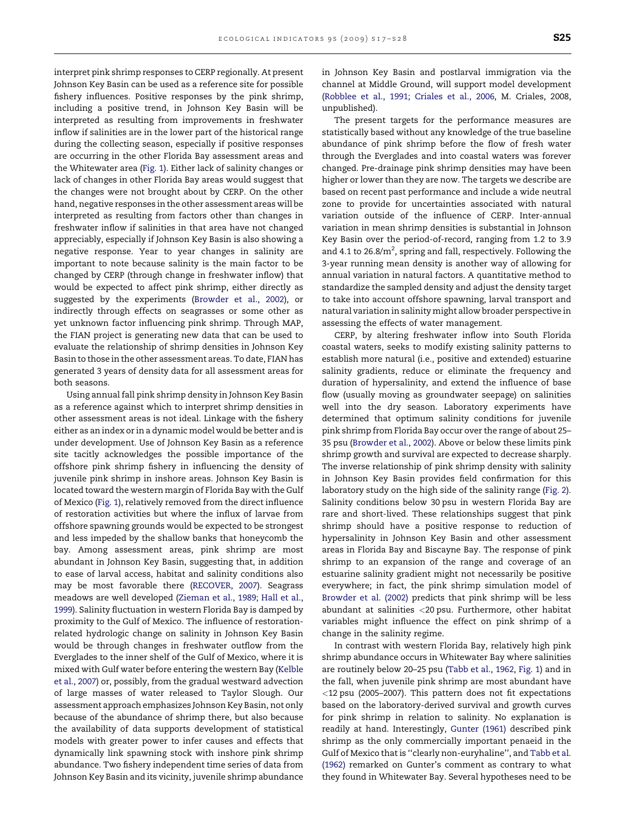interpret pink shrimp responses to CERP regionally. At present Johnson Key Basin can be used as a reference site for possible fishery influences. Positive responses by the pink shrimp, including a positive trend, in Johnson Key Basin will be interpreted as resulting from improvements in freshwater inflow if salinities are in the lower part of the historical range during the collecting season, especially if positive responses are occurring in the other Florida Bay assessment areas and the Whitewater area ([Fig. 1\)](#page-1-0). Either lack of salinity changes or lack of changes in other Florida Bay areas would suggest that the changes were not brought about by CERP. On the other hand, negative responses in the other assessment areas will be interpreted as resulting from factors other than changes in freshwater inflow if salinities in that area have not changed appreciably, especially if Johnson Key Basin is also showing a negative response. Year to year changes in salinity are important to note because salinity is the main factor to be changed by CERP (through change in freshwater inflow) that would be expected to affect pink shrimp, either directly as suggested by the experiments [\(Browder et al., 2002\)](#page-9-0), or indirectly through effects on seagrasses or some other as yet unknown factor influencing pink shrimp. Through MAP, the FIAN project is generating new data that can be used to evaluate the relationship of shrimp densities in Johnson Key Basin to those in the other assessment areas. To date, FIAN has generated 3 years of density data for all assessment areas for both seasons.

Using annual fall pink shrimp density in Johnson Key Basin as a reference against which to interpret shrimp densities in other assessment areas is not ideal. Linkage with the fishery either as an index or in a dynamic model would be better and is under development. Use of Johnson Key Basin as a reference site tacitly acknowledges the possible importance of the offshore pink shrimp fishery in influencing the density of juvenile pink shrimp in inshore areas. Johnson Key Basin is located toward the western margin of Florida Bay with the Gulf of Mexico ([Fig. 1\)](#page-1-0), relatively removed from the direct influence of restoration activities but where the influx of larvae from offshore spawning grounds would be expected to be strongest and less impeded by the shallow banks that honeycomb the bay. Among assessment areas, pink shrimp are most abundant in Johnson Key Basin, suggesting that, in addition to ease of larval access, habitat and salinity conditions also may be most favorable there ([RECOVER, 2007\)](#page-10-0). Seagrass meadows are well developed [\(Zieman et al., 1989; Hall et al.,](#page-11-0) [1999](#page-11-0)). Salinity fluctuation in western Florida Bay is damped by proximity to the Gulf of Mexico. The influence of restorationrelated hydrologic change on salinity in Johnson Key Basin would be through changes in freshwater outflow from the Everglades to the inner shelf of the Gulf of Mexico, where it is mixed with Gulf water before entering the western Bay ([Kelble](#page-10-0) [et al., 2007](#page-10-0)) or, possibly, from the gradual westward advection of large masses of water released to Taylor Slough. Our assessment approach emphasizes Johnson Key Basin, not only because of the abundance of shrimp there, but also because the availability of data supports development of statistical models with greater power to infer causes and effects that dynamically link spawning stock with inshore pink shrimp abundance. Two fishery independent time series of data from Johnson Key Basin and its vicinity, juvenile shrimp abundance

in Johnson Key Basin and postlarval immigration via the channel at Middle Ground, will support model development [\(Robblee et al., 1991; Criales et al., 2006](#page-11-0), M. Criales, 2008, unpublished).

The present targets for the performance measures are statistically based without any knowledge of the true baseline abundance of pink shrimp before the flow of fresh water through the Everglades and into coastal waters was forever changed. Pre-drainage pink shrimp densities may have been higher or lower than they are now. The targets we describe are based on recent past performance and include a wide neutral zone to provide for uncertainties associated with natural variation outside of the influence of CERP. Inter-annual variation in mean shrimp densities is substantial in Johnson Key Basin over the period-of-record, ranging from 1.2 to 3.9 and 4.1 to 26.8/ $m^2$ , spring and fall, respectively. Following the 3-year running mean density is another way of allowing for annual variation in natural factors. A quantitative method to standardize the sampled density and adjust the density target to take into account offshore spawning, larval transport and natural variation in salinity might allow broader perspective in assessing the effects of water management.

CERP, by altering freshwater inflow into South Florida coastal waters, seeks to modify existing salinity patterns to establish more natural (i.e., positive and extended) estuarine salinity gradients, reduce or eliminate the frequency and duration of hypersalinity, and extend the influence of base flow (usually moving as groundwater seepage) on salinities well into the dry season. Laboratory experiments have determined that optimum salinity conditions for juvenile pink shrimp from Florida Bay occur over the range of about 25– 35 psu [\(Browder et al., 2002\)](#page-9-0). Above or below these limits pink shrimp growth and survival are expected to decrease sharply. The inverse relationship of pink shrimp density with salinity in Johnson Key Basin provides field confirmation for this laboratory study on the high side of the salinity range [\(Fig. 2](#page-2-0)). Salinity conditions below 30 psu in western Florida Bay are rare and short-lived. These relationships suggest that pink shrimp should have a positive response to reduction of hypersalinity in Johnson Key Basin and other assessment areas in Florida Bay and Biscayne Bay. The response of pink shrimp to an expansion of the range and coverage of an estuarine salinity gradient might not necessarily be positive everywhere; in fact, the pink shrimp simulation model of [Browder et al. \(2002\)](#page-9-0) predicts that pink shrimp will be less abundant at salinities <20 psu. Furthermore, other habitat variables might influence the effect on pink shrimp of a change in the salinity regime.

In contrast with western Florida Bay, relatively high pink shrimp abundance occurs in Whitewater Bay where salinities are routinely below 20–25 psu ([Tabb et al., 1962](#page-11-0), [Fig. 1](#page-1-0)) and in the fall, when juvenile pink shrimp are most abundant have <12 psu (2005–2007). This pattern does not fit expectations based on the laboratory-derived survival and growth curves for pink shrimp in relation to salinity. No explanation is readily at hand. Interestingly, [Gunter \(1961\)](#page-10-0) described pink shrimp as the only commercially important penaeid in the Gulf of Mexico that is ''clearly non-euryhaline'', and [Tabb et al.](#page-11-0) [\(1962\)](#page-11-0) remarked on Gunter's comment as contrary to what they found in Whitewater Bay. Several hypotheses need to be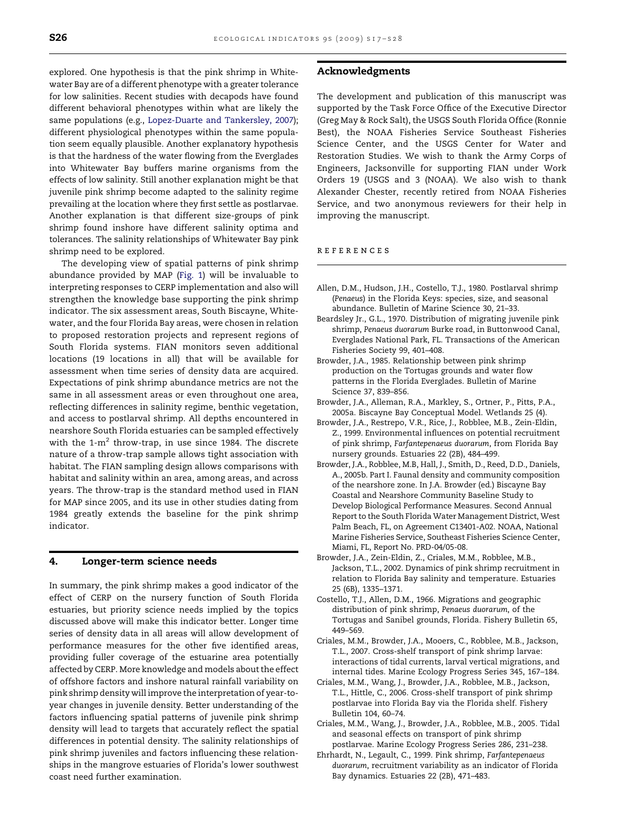<span id="page-9-0"></span>explored. One hypothesis is that the pink shrimp in Whitewater Bay are of a different phenotype with a greater tolerance for low salinities. Recent studies with decapods have found different behavioral phenotypes within what are likely the same populations (e.g., [Lopez-Duarte and Tankersley, 2007\)](#page-10-0); different physiological phenotypes within the same population seem equally plausible. Another explanatory hypothesis is that the hardness of the water flowing from the Everglades into Whitewater Bay buffers marine organisms from the effects of low salinity. Still another explanation might be that juvenile pink shrimp become adapted to the salinity regime prevailing at the location where they first settle as postlarvae. Another explanation is that different size-groups of pink shrimp found inshore have different salinity optima and tolerances. The salinity relationships of Whitewater Bay pink shrimp need to be explored.

The developing view of spatial patterns of pink shrimp abundance provided by MAP [\(Fig. 1\)](#page-1-0) will be invaluable to interpreting responses to CERP implementation and also will strengthen the knowledge base supporting the pink shrimp indicator. The six assessment areas, South Biscayne, Whitewater, and the four Florida Bay areas, were chosen in relation to proposed restoration projects and represent regions of South Florida systems. FIAN monitors seven additional locations (19 locations in all) that will be available for assessment when time series of density data are acquired. Expectations of pink shrimp abundance metrics are not the same in all assessment areas or even throughout one area, reflecting differences in salinity regime, benthic vegetation, and access to postlarval shrimp. All depths encountered in nearshore South Florida estuaries can be sampled effectively with the  $1-m^2$  throw-trap, in use since 1984. The discrete nature of a throw-trap sample allows tight association with habitat. The FIAN sampling design allows comparisons with habitat and salinity within an area, among areas, and across years. The throw-trap is the standard method used in FIAN for MAP since 2005, and its use in other studies dating from 1984 greatly extends the baseline for the pink shrimp indicator.

#### 4. Longer-term science needs

In summary, the pink shrimp makes a good indicator of the effect of CERP on the nursery function of South Florida estuaries, but priority science needs implied by the topics discussed above will make this indicator better. Longer time series of density data in all areas will allow development of performance measures for the other five identified areas, providing fuller coverage of the estuarine area potentially affected by CERP. More knowledge and models about the effect of offshore factors and inshore natural rainfall variability on pink shrimp density will improve the interpretation of year-toyear changes in juvenile density. Better understanding of the factors influencing spatial patterns of juvenile pink shrimp density will lead to targets that accurately reflect the spatial differences in potential density. The salinity relationships of pink shrimp juveniles and factors influencing these relationships in the mangrove estuaries of Florida's lower southwest coast need further examination.

#### Acknowledgments

The development and publication of this manuscript was supported by the Task Force Office of the Executive Director (Greg May & Rock Salt), the USGS South Florida Office (Ronnie Best), the NOAA Fisheries Service Southeast Fisheries Science Center, and the USGS Center for Water and Restoration Studies. We wish to thank the Army Corps of Engineers, Jacksonville for supporting FIAN under Work Orders 19 (USGS and 3 (NOAA). We also wish to thank Alexander Chester, recently retired from NOAA Fisheries Service, and two anonymous reviewers for their help in improving the manuscript.

#### references

- Allen, D.M., Hudson, J.H., Costello, T.J., 1980. Postlarval shrimp (Penaeus) in the Florida Keys: species, size, and seasonal abundance. Bulletin of Marine Science 30, 21–33.
- Beardsley Jr., G.L., 1970. Distribution of migrating juvenile pink shrimp, Penaeus duorarum Burke road, in Buttonwood Canal, Everglades National Park, FL. Transactions of the American Fisheries Society 99, 401–408.
- Browder, J.A., 1985. Relationship between pink shrimp production on the Tortugas grounds and water flow patterns in the Florida Everglades. Bulletin of Marine Science 37, 839–856.
- Browder, J.A., Alleman, R.A., Markley, S., Ortner, P., Pitts, P.A., 2005a. Biscayne Bay Conceptual Model. Wetlands 25 (4).
- Browder, J.A., Restrepo, V.R., Rice, J., Robblee, M.B., Zein-Eldin, Z., 1999. Environmental influences on potential recruitment of pink shrimp, Farfantepenaeus duorarum, from Florida Bay nursery grounds. Estuaries 22 (2B), 484–499.
- Browder, J.A., Robblee, M.B, Hall, J., Smith, D., Reed, D.D., Daniels, A., 2005b. Part I. Faunal density and community composition of the nearshore zone. In J.A. Browder (ed.) Biscayne Bay Coastal and Nearshore Community Baseline Study to Develop Biological Performance Measures. Second Annual Report to the South Florida Water Management District, West Palm Beach, FL, on Agreement C13401-A02. NOAA, National Marine Fisheries Service, Southeast Fisheries Science Center, Miami, FL, Report No. PRD-04/05-08.
- Browder, J.A., Zein-Eldin, Z., Criales, M.M., Robblee, M.B., Jackson, T.L., 2002. Dynamics of pink shrimp recruitment in relation to Florida Bay salinity and temperature. Estuaries 25 (6B), 1335–1371.
- Costello, T.J., Allen, D.M., 1966. Migrations and geographic distribution of pink shrimp, Penaeus duorarum, of the Tortugas and Sanibel grounds, Florida. Fishery Bulletin 65, 449–569.
- Criales, M.M., Browder, J.A., Mooers, C., Robblee, M.B., Jackson, T.L., 2007. Cross-shelf transport of pink shrimp larvae: interactions of tidal currents, larval vertical migrations, and internal tides. Marine Ecology Progress Series 345, 167–184.
- Criales, M.M., Wang, J., Browder, J.A., Robblee, M.B., Jackson, T.L., Hittle, C., 2006. Cross-shelf transport of pink shrimp postlarvae into Florida Bay via the Florida shelf. Fishery Bulletin 104, 60–74.
- Criales, M.M., Wang, J., Browder, J.A., Robblee, M.B., 2005. Tidal and seasonal effects on transport of pink shrimp postlarvae. Marine Ecology Progress Series 286, 231–238.
- Ehrhardt, N., Legault, C., 1999. Pink shrimp, Farfantepenaeus duorarum, recruitment variability as an indicator of Florida Bay dynamics. Estuaries 22 (2B), 471–483.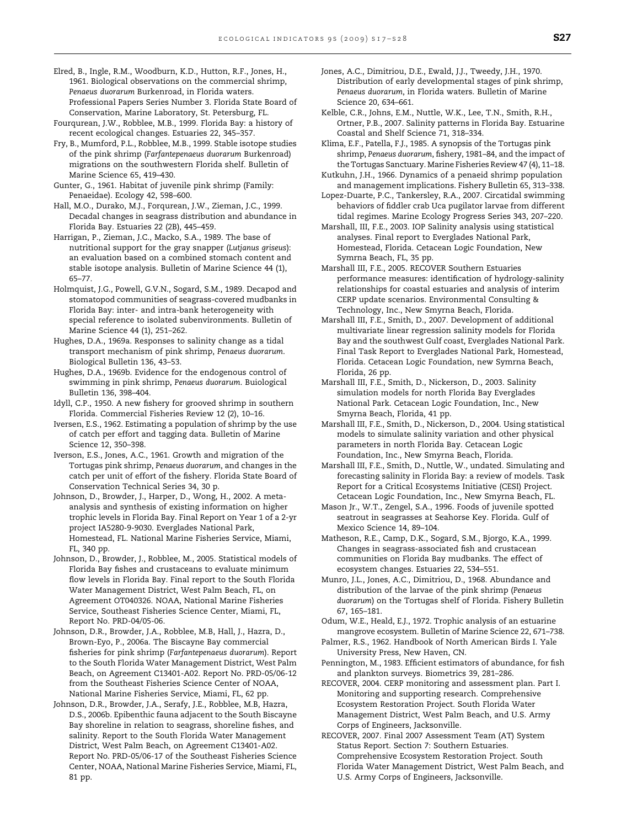- <span id="page-10-0"></span>Elred, B., Ingle, R.M., Woodburn, K.D., Hutton, R.F., Jones, H., 1961. Biological observations on the commercial shrimp, Penaeus duorarum Burkenroad, in Florida waters. Professional Papers Series Number 3. Florida State Board of Conservation, Marine Laboratory, St. Petersburg, FL.
- Fourqurean, J.W., Robblee, M.B., 1999. Florida Bay: a history of recent ecological changes. Estuaries 22, 345–357.
- Fry, B., Mumford, P.L., Robblee, M.B., 1999. Stable isotope studies of the pink shrimp (Farfantepenaeus duorarum Burkenroad) migrations on the southwestern Florida shelf. Bulletin of Marine Science 65, 419–430.
- Gunter, G., 1961. Habitat of juvenile pink shrimp (Family: Penaeidae). Ecology 42, 598–600.
- Hall, M.O., Durako, M.J., Forqurean, J.W., Zieman, J.C., 1999. Decadal changes in seagrass distribution and abundance in Florida Bay. Estuaries 22 (2B), 445–459.
- Harrigan, P., Zieman, J.C., Macko, S.A., 1989. The base of nutritional support for the gray snapper (Lutjanus griseus): an evaluation based on a combined stomach content and stable isotope analysis. Bulletin of Marine Science 44 (1), 65–77.
- Holmquist, J.G., Powell, G.V.N., Sogard, S.M., 1989. Decapod and stomatopod communities of seagrass-covered mudbanks in Florida Bay: inter- and intra-bank heterogeneity with special reference to isolated subenvironments. Bulletin of Marine Science 44 (1), 251–262.
- Hughes, D.A., 1969a. Responses to salinity change as a tidal transport mechanism of pink shrimp, Penaeus duorarum. Biological Bulletin 136, 43–53.
- Hughes, D.A., 1969b. Evidence for the endogenous control of swimming in pink shrimp, Penaeus duorarum. Buiological Bulletin 136, 398–404.
- Idyll, C.P., 1950. A new fishery for grooved shrimp in southern Florida. Commercial Fisheries Review 12 (2), 10–16.
- Iversen, E.S., 1962. Estimating a population of shrimp by the use of catch per effort and tagging data. Bulletin of Marine Science 12, 350–398.
- Iverson, E.S., Jones, A.C., 1961. Growth and migration of the Tortugas pink shrimp, Penaeus duorarum, and changes in the catch per unit of effort of the fishery. Florida State Board of Conservation Technical Series 34, 30 p.
- Johnson, D., Browder, J., Harper, D., Wong, H., 2002. A metaanalysis and synthesis of existing information on higher trophic levels in Florida Bay. Final Report on Year 1 of a 2-yr project IA5280-9-9030. Everglades National Park, Homestead, FL. National Marine Fisheries Service, Miami, FL, 340 pp.
- Johnson, D., Browder, J., Robblee, M., 2005. Statistical models of Florida Bay fishes and crustaceans to evaluate minimum flow levels in Florida Bay. Final report to the South Florida Water Management District, West Palm Beach, FL, on Agreement OT040326. NOAA, National Marine Fisheries Service, Southeast Fisheries Science Center, Miami, FL, Report No. PRD-04/05-06.
- Johnson, D.R., Browder, J.A., Robblee, M.B, Hall, J., Hazra, D., Brown-Eyo, P., 2006a. The Biscayne Bay commercial fisheries for pink shrimp (Farfantepenaeus duorarum). Report to the South Florida Water Management District, West Palm Beach, on Agreement C13401-A02. Report No. PRD-05/06-12 from the Southeast Fisheries Science Center of NOAA, National Marine Fisheries Service, Miami, FL, 62 pp.
- Johnson, D.R., Browder, J.A., Serafy, J.E., Robblee, M.B, Hazra, D.S., 2006b. Epibenthic fauna adjacent to the South Biscayne Bay shoreline in relation to seagrass, shoreline fishes, and salinity. Report to the South Florida Water Management District, West Palm Beach, on Agreement C13401-A02. Report No. PRD-05/06-17 of the Southeast Fisheries Science Center, NOAA, National Marine Fisheries Service, Miami, FL, 81 pp.
- Jones, A.C., Dimitriou, D.E., Ewald, J.J., Tweedy, J.H., 1970. Distribution of early developmental stages of pink shrimp, Penaeus duorarum, in Florida waters. Bulletin of Marine Science 20, 634–661.
- Kelble, C.R., Johns, E.M., Nuttle, W.K., Lee, T.N., Smith, R.H., Ortner, P.B., 2007. Salinity patterns in Florida Bay. Estuarine Coastal and Shelf Science 71, 318–334.
- Klima, E.F., Patella, F.J., 1985. A synopsis of the Tortugas pink shrimp, Penaeus duorarum, fishery, 1981–84, and the impact of the Tortugas Sanctuary. Marine Fisheries Review 47 (4), 11–18.
- Kutkuhn, J.H., 1966. Dynamics of a penaeid shrimp population and management implications. Fishery Bulletin 65, 313–338.
- Lopez-Duarte, P.C., Tankersley, R.A., 2007. Circatidal swimming behaviors of fiddler crab Uca pugilator larvae from different tidal regimes. Marine Ecology Progress Series 343, 207–220.
- Marshall, III, F.E., 2003. IOP Salinity analysis using statistical analyses. Final report to Everglades National Park, Homestead, Florida. Cetacean Logic Foundation, New Symrna Beach, FL, 35 pp.
- Marshall III, F.E., 2005. RECOVER Southern Estuaries performance measures: identification of hydrology-salinity relationships for coastal estuaries and analysis of interim CERP update scenarios. Environmental Consulting & Technology, Inc., New Smyrna Beach, Florida.
- Marshall III, F.E., Smith, D., 2007. Development of additional multivariate linear regression salinity models for Florida Bay and the southwest Gulf coast, Everglades National Park. Final Task Report to Everglades National Park, Homestead, Florida. Cetacean Logic Foundation, new Symrna Beach, Florida, 26 pp.
- Marshall III, F.E., Smith, D., Nickerson, D., 2003. Salinity simulation models for north Florida Bay Everglades National Park. Cetacean Logic Foundation, Inc., New Smyrna Beach, Florida, 41 pp.
- Marshall III, F.E., Smith, D., Nickerson, D., 2004. Using statistical models to simulate salinity variation and other physical parameters in north Florida Bay. Cetacean Logic Foundation, Inc., New Smyrna Beach, Florida.
- Marshall III, F.E., Smith, D., Nuttle, W., undated. Simulating and forecasting salinity in Florida Bay: a review of models. Task Report for a Critical Ecosystems Initiative (CESI) Project. Cetacean Logic Foundation, Inc., New Smyrna Beach, FL.
- Mason Jr., W.T., Zengel, S.A., 1996. Foods of juvenile spotted seatrout in seagrasses at Seahorse Key. Florida. Gulf of Mexico Science 14, 89–104.
- Matheson, R.E., Camp, D.K., Sogard, S.M., Bjorgo, K.A., 1999. Changes in seagrass-associated fish and crustacean communities on Florida Bay mudbanks. The effect of ecosystem changes. Estuaries 22, 534–551.
- Munro, J.L., Jones, A.C., Dimitriou, D., 1968. Abundance and distribution of the larvae of the pink shrimp (Penaeus duorarum) on the Tortugas shelf of Florida. Fishery Bulletin 67, 165–181.
- Odum, W.E., Heald, E.J., 1972. Trophic analysis of an estuarine mangrove ecosystem. Bulletin of Marine Science 22, 671–738.
- Palmer, R.S., 1962. Handbook of North American Birds I. Yale University Press, New Haven, CN.
- Pennington, M., 1983. Efficient estimators of abundance, for fish and plankton surveys. Biometrics 39, 281–286.
- RECOVER, 2004. CERP monitoring and assessment plan. Part I. Monitoring and supporting research. Comprehensive Ecosystem Restoration Project. South Florida Water Management District, West Palm Beach, and U.S. Army Corps of Engineers, Jacksonville.
- RECOVER, 2007. Final 2007 Assessment Team (AT) System Status Report. Section 7: Southern Estuaries. Comprehensive Ecosystem Restoration Project. South Florida Water Management District, West Palm Beach, and U.S. Army Corps of Engineers, Jacksonville.